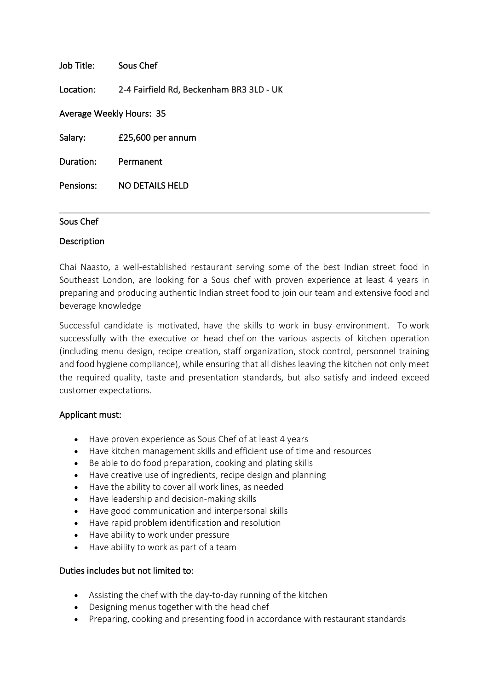| Job Title:               | Sous Chef                                |
|--------------------------|------------------------------------------|
| Location:                | 2-4 Fairfield Rd, Beckenham BR3 3LD - UK |
| Average Weekly Hours: 35 |                                          |
| Salary:                  | £25,600 per annum                        |
| Duration:                | Permanent                                |
| Pensions:                | NO DETAILS HELD                          |

## Sous Chef

## Description

Chai Naasto, a well-established restaurant serving some of the best Indian street food in Southeast London, are looking for a Sous chef with proven experience at least 4 years in preparing and producing authentic Indian street food to join our team and extensive food and beverage knowledge

Successful candidate is motivated, have the skills to work in busy environment. To work successfully with the executive or head chef on the various aspects of kitchen operation (including menu design, recipe creation, staff organization, stock control, personnel training and food hygiene compliance), while ensuring that all dishes leaving the kitchen not only meet the required quality, taste and presentation standards, but also satisfy and indeed exceed customer expectations.

## Applicant must:

- Have proven experience as Sous Chef of at least 4 years
- Have kitchen management skills and efficient use of time and resources
- Be able to do food preparation, cooking and plating skills
- Have creative use of ingredients, recipe design and planning
- Have the ability to cover all work lines, as needed
- Have leadership and decision-making skills
- Have good communication and interpersonal skills
- Have rapid problem identification and resolution
- Have ability to work under pressure
- Have ability to work as part of a team

## Duties includes but not limited to:

- Assisting the chef with the day-to-day running of the kitchen
- Designing menus together with the head chef
- Preparing, cooking and presenting food in accordance with restaurant standards